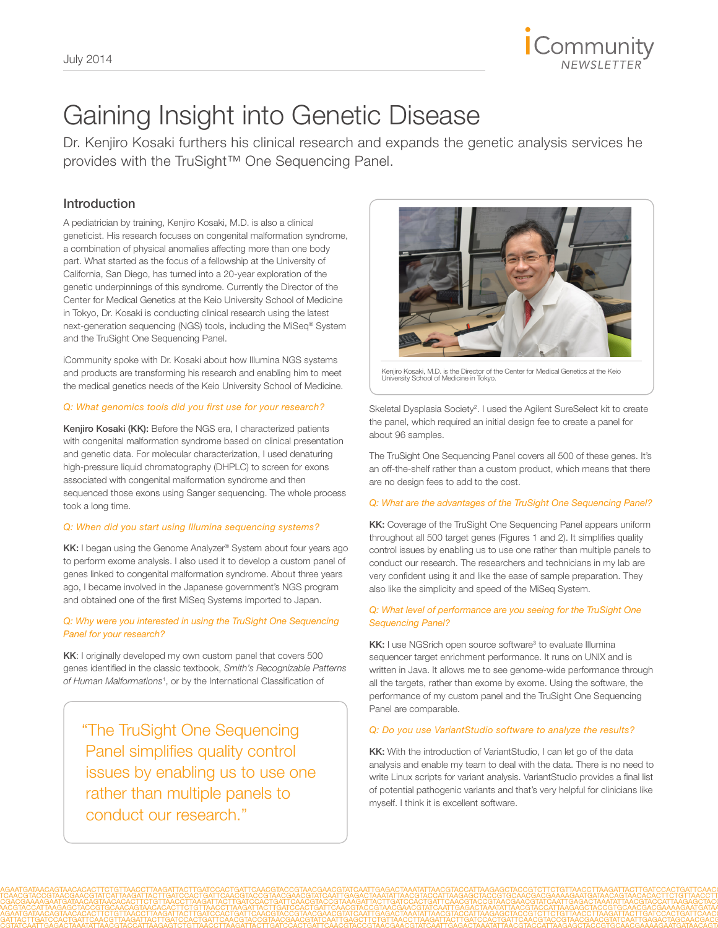

## Gaining Insight into Genetic Disease

Dr. Kenjiro Kosaki furthers his clinical research and expands the genetic analysis services he provides with the TruSight™ One Sequencing Panel.

## Introduction

A pediatrician by training, Kenjiro Kosaki, M.D. is also a clinical geneticist. His research focuses on congenital malformation syndrome, a combination of physical anomalies affecting more than one body part. What started as the focus of a fellowship at the University of California, San Diego, has turned into a 20-year exploration of the genetic underpinnings of this syndrome. Currently the Director of the Center for Medical Genetics at the Keio University School of Medicine in Tokyo, Dr. Kosaki is conducting clinical research using the latest next-generation sequencing (NGS) tools, including the MiSeq® System and the TruSight One Sequencing Panel.

iCommunity spoke with Dr. Kosaki about how Illumina NGS systems and products are transforming his research and enabling him to meet the medical genetics needs of the Keio University School of Medicine.

#### *Q: What genomics tools did you first use for your research?*

Kenjiro Kosaki (KK): Before the NGS era, I characterized patients with congenital malformation syndrome based on clinical presentation and genetic data. For molecular characterization, I used denaturing high-pressure liquid chromatography (DHPLC) to screen for exons associated with congenital malformation syndrome and then sequenced those exons using Sanger sequencing. The whole process took a long time.

## *Q: When did you start using Illumina sequencing systems?*

KK: I began using the Genome Analyzer® System about four years ago to perform exome analysis. I also used it to develop a custom panel of genes linked to congenital malformation syndrome. About three years ago, I became involved in the Japanese government's NGS program and obtained one of the first MiSeq Systems imported to Japan.

#### *Q: Why were you interested in using the TruSight One Sequencing Panel for your research?*

KK: I originally developed my own custom panel that covers 500 genes identified in the classic textbook, *Smith's Recognizable Patterns of Human Malformations*<sup>1</sup> , or by the International Classification of

"The TruSight One Sequencing Panel simplifies quality control issues by enabling us to use one rather than multiple panels to conduct our research."



Kenjiro Kosaki, M.D. is the Director of the Center for Medical Genetics at the Keio University School of Medicine in Tokyo.

Skeletal Dysplasia Society<sup>2</sup>. I used the Agilent SureSelect kit to create the panel, which required an initial design fee to create a panel for about 96 samples.

The TruSight One Sequencing Panel covers all 500 of these genes. It's an off-the-shelf rather than a custom product, which means that there are no design fees to add to the cost.

#### *Q: What are the advantages of the TruSight One Sequencing Panel?*

KK: Coverage of the TruSight One Sequencing Panel appears uniform throughout all 500 target genes (Figures 1 and 2). It simplifies quality control issues by enabling us to use one rather than multiple panels to conduct our research. The researchers and technicians in my lab are very confident using it and like the ease of sample preparation. They also like the simplicity and speed of the MiSeq System.

## *Q: What level of performance are you seeing for the TruSight One Sequencing Panel?*

KK: I use NGSrich open source software<sup>3</sup> to evaluate Illumina sequencer target enrichment performance. It runs on UNIX and is written in Java. It allows me to see genome-wide performance through all the targets, rather than exome by exome. Using the software, the performance of my custom panel and the TruSight One Sequencing Panel are comparable.

## *Q: Do you use VariantStudio software to analyze the results?*

KK: With the introduction of VariantStudio, I can let go of the data analysis and enable my team to deal with the data. There is no need to write Linux scripts for variant analysis. VariantStudio provides a final list of potential pathogenic variants and that's very helpful for clinicians like myself. I think it is excellent software.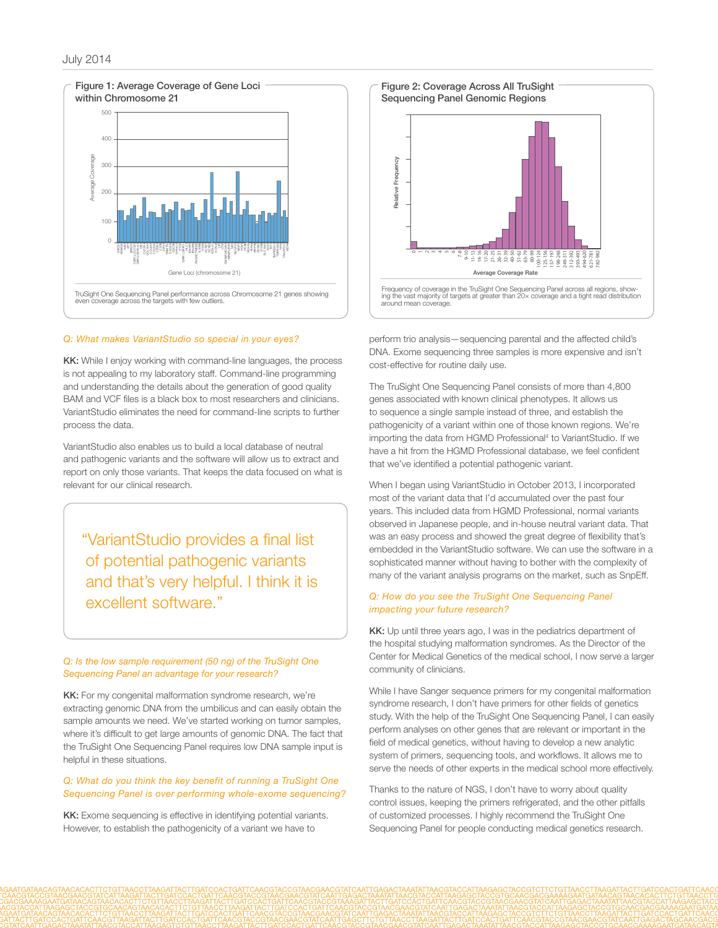

#### *Q: What makes VariantStudio so special in your eyes?*

KK: While I enjoy working with command-line languages, the process is not appealing to my laboratory staff. Command-line programming and understanding the details about the generation of good quality BAM and VCF files is a black box to most researchers and clinicians. VariantStudio eliminates the need for command-line scripts to further process the data.

VariantStudio also enables us to build a local database of neutral and pathogenic variants and the software will allow us to extract and report on only those variants. That keeps the data focused on what is relevant for our clinical research.

"VariantStudio provides a final list of potential pathogenic variants and that's very helpful. I think it is excellent software."

#### *Q: Is the low sample requirement (50 ng) of the TruSight One Sequencing Panel an advantage for your research?*

KK: For my congenital malformation syndrome research, we're extracting genomic DNA from the umbilicus and can easily obtain the sample amounts we need. We've started working on tumor samples, where it's difficult to get large amounts of genomic DNA. The fact that the TruSight One Sequencing Panel requires low DNA sample input is helpful in these situations.

#### *Q: What do you think the key benefit of running a TruSight One Sequencing Panel is over performing whole-exome sequencing?*

KK: Exome sequencing is effective in identifying potential variants. However, to establish the pathogenicity of a variant we have to



perform trio analysis—sequencing parental and the affected child's DNA. Exome sequencing three samples is more expensive and isn't cost-effective for routine daily use.

The TruSight One Sequencing Panel consists of more than 4,800 genes associated with known clinical phenotypes. It allows us to sequence a single sample instead of three, and establish the pathogenicity of a variant within one of those known regions. We're importing the data from HGMD Professional<sup>4</sup> to VariantStudio. If we have a hit from the HGMD Professional database, we feel confident that we've identified a potential pathogenic variant.

When I began using VariantStudio in October 2013, I incorporated most of the variant data that I'd accumulated over the past four years. This included data from HGMD Professional, normal variants observed in Japanese people, and in-house neutral variant data. That was an easy process and showed the great degree of flexibility that's embedded in the VariantStudio software. We can use the software in a sophisticated manner without having to bother with the complexity of many of the variant analysis programs on the market, such as SnpEff.

#### *Q: How do you see the TruSight One Sequencing Panel impacting your future research?*

KK: Up until three years ago, I was in the pediatrics department of the hospital studying malformation syndromes. As the Director of the Center for Medical Genetics of the medical school, I now serve a larger community of clinicians.

While I have Sanger sequence primers for my congenital malformation syndrome research, I don't have primers for other fields of genetics study. With the help of the TruSight One Sequencing Panel, I can easily perform analyses on other genes that are relevant or important in the field of medical genetics, without having to develop a new analytic system of primers, sequencing tools, and workflows. It allows me to serve the needs of other experts in the medical school more effectively.

Thanks to the nature of NGS, I don't have to worry about quality control issues, keeping the primers refrigerated, and the other pitfalls of customized processes. I highly recommend the TruSight One Sequencing Panel for people conducting medical genetics research.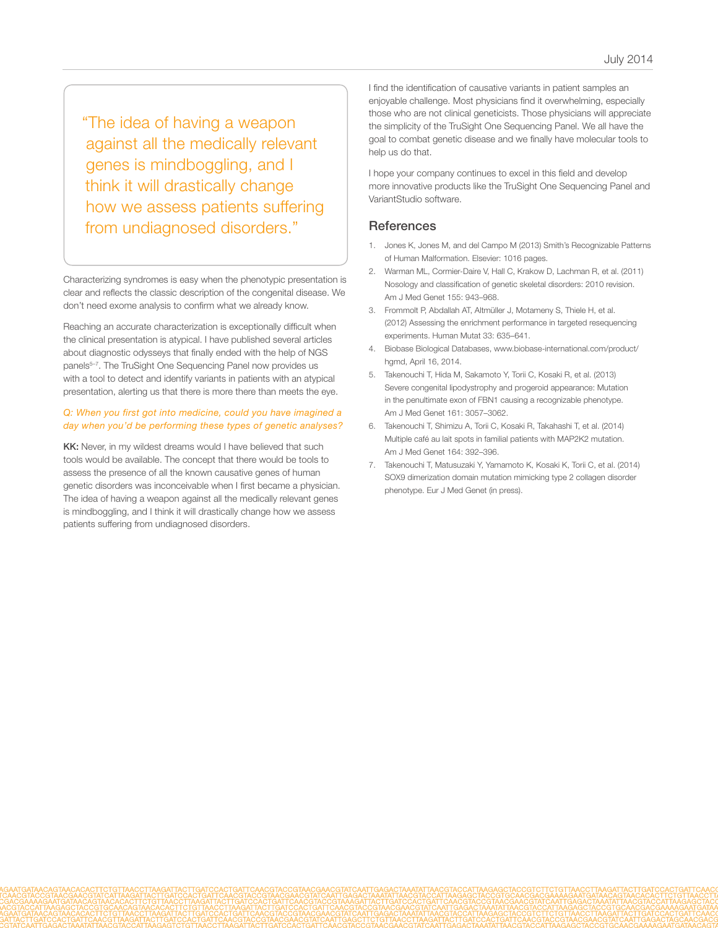"The idea of having a weapon against all the medically relevant genes is mindboggling, and I think it will drastically change how we assess patients suffering from undiagnosed disorders."

Characterizing syndromes is easy when the phenotypic presentation is clear and reflects the classic description of the congenital disease. We don't need exome analysis to confirm what we already know.

Reaching an accurate characterization is exceptionally difficult when the clinical presentation is atypical. I have published several articles about diagnostic odysseys that finally ended with the help of NGS panels<sup>5-7</sup>. The TruSight One Sequencing Panel now provides us with a tool to detect and identify variants in patients with an atypical presentation, alerting us that there is more there than meets the eye.

## *Q: When you first got into medicine, could you have imagined a day when you'd be performing these types of genetic analyses?*

KK: Never, in my wildest dreams would I have believed that such tools would be available. The concept that there would be tools to assess the presence of all the known causative genes of human genetic disorders was inconceivable when I first became a physician. The idea of having a weapon against all the medically relevant genes is mindboggling, and I think it will drastically change how we assess patients suffering from undiagnosed disorders.

I find the identification of causative variants in patient samples an enjoyable challenge. Most physicians find it overwhelming, especially those who are not clinical geneticists. Those physicians will appreciate the simplicity of the TruSight One Sequencing Panel. We all have the goal to combat genetic disease and we finally have molecular tools to help us do that.

I hope your company continues to excel in this field and develop more innovative products like the TruSight One Sequencing Panel and VariantStudio software.

## **References**

- 1. [Jones K, Jones M, and del Campo M \(2013\) Smith's Recognizable Patterns](https://www.elsevier.com/books/smiths-recognizable-patterns-of-human-malformation/jones/978-1-4557-381)  [of Human Malformation. Elsevier: 1016 pages.](https://www.elsevier.com/books/smiths-recognizable-patterns-of-human-malformation/jones/978-1-4557-381)
- 2. [Warman ML, Cormier-Daire V, Hall C, Krakow D, Lachman R, et al. \(2011\)](http://www.ncbi.nlm.nih.gov/pubmed/21438135)  [Nosology and classification of genetic skeletal disorders: 2010 revision.](http://www.ncbi.nlm.nih.gov/pubmed/21438135)  [Am J Med Genet 155: 943–968.](http://www.ncbi.nlm.nih.gov/pubmed/21438135)
- 3. [Frommolt P, Abdallah AT, Altmüller J, Motameny S, Thiele H, et al.](http://www.ncbi.nlm.nih.gov/pubmed/22290614)  [\(2012\) Assessing the enrichment performance in targeted resequencing](http://www.ncbi.nlm.nih.gov/pubmed/22290614)  [experiments. Human Mutat 33: 635–641.](http://www.ncbi.nlm.nih.gov/pubmed/22290614)
- 4. [Biobase Biological Databases, www.biobase-international.com/product/](http://www.biobase-international.com/product/hgmd) [hgmd, April 16, 2014.](http://www.biobase-international.com/product/hgmd)
- 5. [Takenouchi T, Hida M, Sakamoto Y, Torii C, Kosaki R, et al. \(2013\)](http://www.ncbi.nlm.nih.gov/pubmed/24039054)  [Severe congenital lipodystrophy and progeroid appearance: Mutation](http://www.ncbi.nlm.nih.gov/pubmed/24039054)  [in the penultimate exon of FBN1 causing a recognizable phenotype.](http://www.ncbi.nlm.nih.gov/pubmed/24039054)  [Am J Med Genet 161: 3057–3062.](http://www.ncbi.nlm.nih.gov/pubmed/24039054)
- 6. [Takenouchi T, Shimizu A, Torii C, Kosaki R, Takahashi T, et al. \(2014\)](http://www.ncbi.nlm.nih.gov/pubmed/24311457)  [Multiple café au lait spots in familial patients with MAP2K2 mutation.](http://www.ncbi.nlm.nih.gov/pubmed/24311457)  [Am J Med Genet 164: 392–396.](http://www.ncbi.nlm.nih.gov/pubmed/24311457)
- 7. [Takenouchi T, Matusuzaki Y, Yamamoto K, Kosaki K, Torii C, et al. \(2014\)](http://www.ncbi.nlm.nih.gov/pubmed/24704791)  [SOX9 dimerization domain mutation mimicking type 2 collagen disorder](http://www.ncbi.nlm.nih.gov/pubmed/24704791)  [phenotype. Eur J Med Genet \(in press\).](http://www.ncbi.nlm.nih.gov/pubmed/24704791)